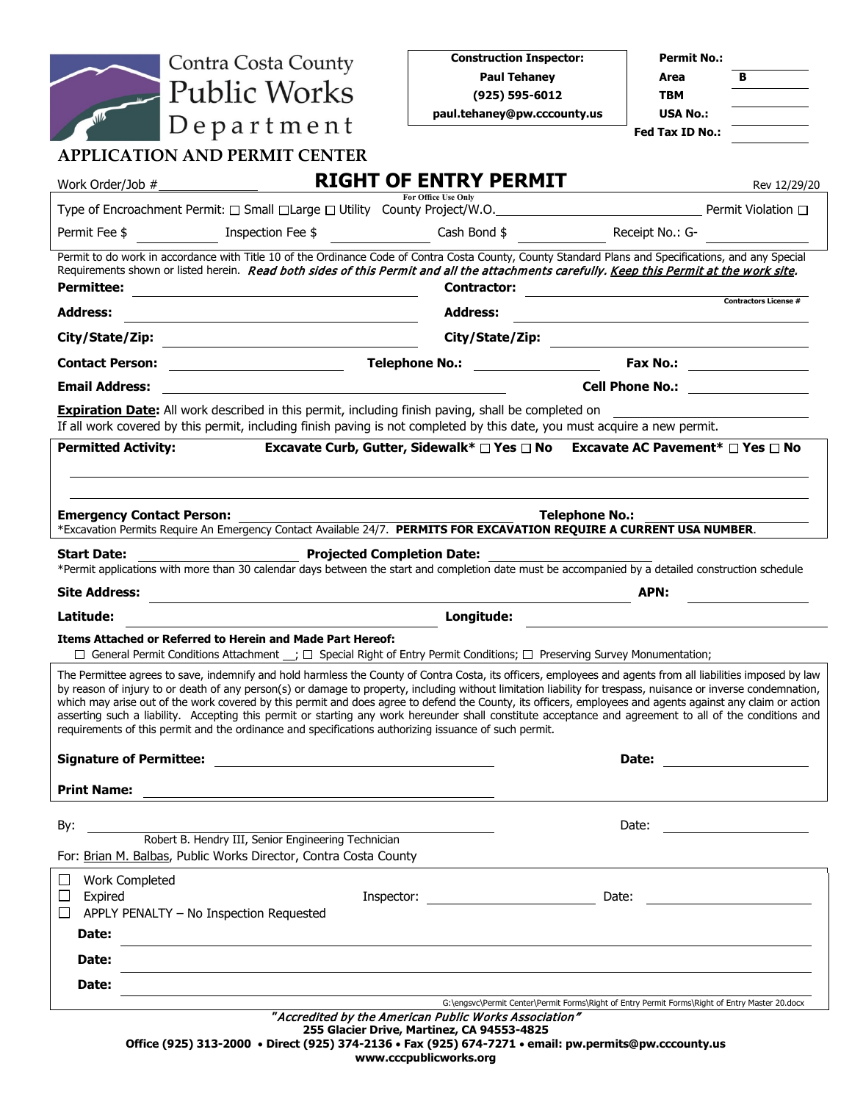| <b>Contra Costa County</b>                                                                                                                                                                                                                                                                                                                                                                                                                                                                                                                                                                                                                                                                                                                                       | <b>Construction Inspector:</b>                                                                                                                                                                                                 | <b>Permit No.:</b>                                                                                                                                                                                                             |
|------------------------------------------------------------------------------------------------------------------------------------------------------------------------------------------------------------------------------------------------------------------------------------------------------------------------------------------------------------------------------------------------------------------------------------------------------------------------------------------------------------------------------------------------------------------------------------------------------------------------------------------------------------------------------------------------------------------------------------------------------------------|--------------------------------------------------------------------------------------------------------------------------------------------------------------------------------------------------------------------------------|--------------------------------------------------------------------------------------------------------------------------------------------------------------------------------------------------------------------------------|
|                                                                                                                                                                                                                                                                                                                                                                                                                                                                                                                                                                                                                                                                                                                                                                  | <b>Paul Tehaney</b>                                                                                                                                                                                                            | Area<br>в                                                                                                                                                                                                                      |
| - Public Works                                                                                                                                                                                                                                                                                                                                                                                                                                                                                                                                                                                                                                                                                                                                                   | $(925) 595 - 6012$                                                                                                                                                                                                             | TBM                                                                                                                                                                                                                            |
| $Depart$ ment                                                                                                                                                                                                                                                                                                                                                                                                                                                                                                                                                                                                                                                                                                                                                    | paul.tehaney@pw.cccounty.us                                                                                                                                                                                                    | <b>USA No.:</b><br>Fed Tax ID No.:                                                                                                                                                                                             |
| <b>APPLICATION AND PERMIT CENTER</b>                                                                                                                                                                                                                                                                                                                                                                                                                                                                                                                                                                                                                                                                                                                             |                                                                                                                                                                                                                                |                                                                                                                                                                                                                                |
| Work Order/Job #                                                                                                                                                                                                                                                                                                                                                                                                                                                                                                                                                                                                                                                                                                                                                 | <b>RIGHT OF ENTRY PERMIT</b>                                                                                                                                                                                                   | Rev 12/29/20                                                                                                                                                                                                                   |
|                                                                                                                                                                                                                                                                                                                                                                                                                                                                                                                                                                                                                                                                                                                                                                  | For Office Use Only                                                                                                                                                                                                            |                                                                                                                                                                                                                                |
| Permit Fee \$                                                                                                                                                                                                                                                                                                                                                                                                                                                                                                                                                                                                                                                                                                                                                    | Inspection Fee \$ 6.50 Cash Bond                                                                                                                                                                                               | Receipt No.: G-                                                                                                                                                                                                                |
| Permit to do work in accordance with Title 10 of the Ordinance Code of Contra Costa County, County Standard Plans and Specifications, and any Special<br>Requirements shown or listed herein. Read both sides of this Permit and all the attachments carefully. Keep this Permit at the work site.<br>Permittee:                                                                                                                                                                                                                                                                                                                                                                                                                                                 | <b>Contractor:</b><br><u> 1980 - Jan Samuel Barbara, martin d</u>                                                                                                                                                              |                                                                                                                                                                                                                                |
| <b>Address:</b>                                                                                                                                                                                                                                                                                                                                                                                                                                                                                                                                                                                                                                                                                                                                                  | <b>Address:</b>                                                                                                                                                                                                                | <b>Contractors License #</b>                                                                                                                                                                                                   |
|                                                                                                                                                                                                                                                                                                                                                                                                                                                                                                                                                                                                                                                                                                                                                                  | City/State/Zip: with the contract of the contract of the contract of the contract of the contract of the contract of the contract of the contract of the contract of the contract of the contract of the contract of the contr |                                                                                                                                                                                                                                |
| <b>Contact Person:</b><br><u> 1990 - Johann Barbara, martin a</u>                                                                                                                                                                                                                                                                                                                                                                                                                                                                                                                                                                                                                                                                                                | <b>Telephone No.:</b><br><u> 1990 - Johann Barbara, martin a</u>                                                                                                                                                               | <b>Fax No.:</b> 2008. 2009.                                                                                                                                                                                                    |
| <b>Email Address:</b>                                                                                                                                                                                                                                                                                                                                                                                                                                                                                                                                                                                                                                                                                                                                            |                                                                                                                                                                                                                                | <b>Cell Phone No.: Cell Phone No.:</b>                                                                                                                                                                                         |
| <b>Expiration Date:</b> All work described in this permit, including finish paving, shall be completed on<br>If all work covered by this permit, including finish paving is not completed by this date, you must acquire a new permit.                                                                                                                                                                                                                                                                                                                                                                                                                                                                                                                           |                                                                                                                                                                                                                                |                                                                                                                                                                                                                                |
| <b>Permitted Activity:</b>                                                                                                                                                                                                                                                                                                                                                                                                                                                                                                                                                                                                                                                                                                                                       | Excavate Curb, Gutter, Sidewalk* □ Yes □ No Excavate AC Pavement* □ Yes □ No                                                                                                                                                   |                                                                                                                                                                                                                                |
|                                                                                                                                                                                                                                                                                                                                                                                                                                                                                                                                                                                                                                                                                                                                                                  |                                                                                                                                                                                                                                |                                                                                                                                                                                                                                |
|                                                                                                                                                                                                                                                                                                                                                                                                                                                                                                                                                                                                                                                                                                                                                                  |                                                                                                                                                                                                                                |                                                                                                                                                                                                                                |
| <b>Emergency Contact Person:</b>                                                                                                                                                                                                                                                                                                                                                                                                                                                                                                                                                                                                                                                                                                                                 | <b>Telephone No.:</b>                                                                                                                                                                                                          |                                                                                                                                                                                                                                |
| *Excavation Permits Require An Emergency Contact Available 24/7. PERMITS FOR EXCAVATION REQUIRE A CURRENT USA NUMBER.                                                                                                                                                                                                                                                                                                                                                                                                                                                                                                                                                                                                                                            |                                                                                                                                                                                                                                |                                                                                                                                                                                                                                |
|                                                                                                                                                                                                                                                                                                                                                                                                                                                                                                                                                                                                                                                                                                                                                                  |                                                                                                                                                                                                                                |                                                                                                                                                                                                                                |
| Start Date:<br><b>Projected Completion Date:</b><br>*Permit applications with more than 30 calendar days between the start and completion date must be accompanied by a detailed construction schedule                                                                                                                                                                                                                                                                                                                                                                                                                                                                                                                                                           |                                                                                                                                                                                                                                |                                                                                                                                                                                                                                |
| <b>Site Address:</b>                                                                                                                                                                                                                                                                                                                                                                                                                                                                                                                                                                                                                                                                                                                                             |                                                                                                                                                                                                                                | APN:                                                                                                                                                                                                                           |
| Latitude:                                                                                                                                                                                                                                                                                                                                                                                                                                                                                                                                                                                                                                                                                                                                                        | Longitude:                                                                                                                                                                                                                     |                                                                                                                                                                                                                                |
| <b>Items Attached or Referred to Herein and Made Part Hereof:</b><br>□ General Permit Conditions Attachment __; □ Special Right of Entry Permit Conditions; □ Preserving Survey Monumentation;                                                                                                                                                                                                                                                                                                                                                                                                                                                                                                                                                                   |                                                                                                                                                                                                                                |                                                                                                                                                                                                                                |
| The Permittee agrees to save, indemnify and hold harmless the County of Contra Costa, its officers, employees and agents from all liabilities imposed by law<br>by reason of injury to or death of any person(s) or damage to property, including without limitation liability for trespass, nuisance or inverse condemnation,<br>which may arise out of the work covered by this permit and does agree to defend the County, its officers, employees and agents against any claim or action<br>asserting such a liability. Accepting this permit or starting any work hereunder shall constitute acceptance and agreement to all of the conditions and<br>requirements of this permit and the ordinance and specifications authorizing issuance of such permit. |                                                                                                                                                                                                                                |                                                                                                                                                                                                                                |
|                                                                                                                                                                                                                                                                                                                                                                                                                                                                                                                                                                                                                                                                                                                                                                  |                                                                                                                                                                                                                                |                                                                                                                                                                                                                                |
|                                                                                                                                                                                                                                                                                                                                                                                                                                                                                                                                                                                                                                                                                                                                                                  |                                                                                                                                                                                                                                | Date: ____________________                                                                                                                                                                                                     |
|                                                                                                                                                                                                                                                                                                                                                                                                                                                                                                                                                                                                                                                                                                                                                                  |                                                                                                                                                                                                                                |                                                                                                                                                                                                                                |
| By:<br>Robert B. Hendry III, Senior Engineering Technician                                                                                                                                                                                                                                                                                                                                                                                                                                                                                                                                                                                                                                                                                                       |                                                                                                                                                                                                                                | Date:<br><u> 1989 - Andrea State Barbara, política establece</u>                                                                                                                                                               |
| For: Brian M. Balbas, Public Works Director, Contra Costa County                                                                                                                                                                                                                                                                                                                                                                                                                                                                                                                                                                                                                                                                                                 |                                                                                                                                                                                                                                |                                                                                                                                                                                                                                |
| <b>Work Completed</b><br>ப<br>$\Box$                                                                                                                                                                                                                                                                                                                                                                                                                                                                                                                                                                                                                                                                                                                             |                                                                                                                                                                                                                                |                                                                                                                                                                                                                                |
| Expired<br>APPLY PENALTY - No Inspection Requested<br>ப                                                                                                                                                                                                                                                                                                                                                                                                                                                                                                                                                                                                                                                                                                          | Inspector: the contract of the contract of the contract of the contract of the contract of the contract of the                                                                                                                 | Date: the contract of the contract of the contract of the contract of the contract of the contract of the contract of the contract of the contract of the contract of the contract of the contract of the contract of the cont |
| <b>Date:</b>                                                                                                                                                                                                                                                                                                                                                                                                                                                                                                                                                                                                                                                                                                                                                     |                                                                                                                                                                                                                                |                                                                                                                                                                                                                                |
| Date:                                                                                                                                                                                                                                                                                                                                                                                                                                                                                                                                                                                                                                                                                                                                                            |                                                                                                                                                                                                                                |                                                                                                                                                                                                                                |
| Date:                                                                                                                                                                                                                                                                                                                                                                                                                                                                                                                                                                                                                                                                                                                                                            |                                                                                                                                                                                                                                |                                                                                                                                                                                                                                |
|                                                                                                                                                                                                                                                                                                                                                                                                                                                                                                                                                                                                                                                                                                                                                                  | "Accredited by the American Public Works Association"                                                                                                                                                                          | G:\engsvc\Permit Center\Permit Forms\Right of Entry Permit Forms\Right of Entry Master 20.docx                                                                                                                                 |